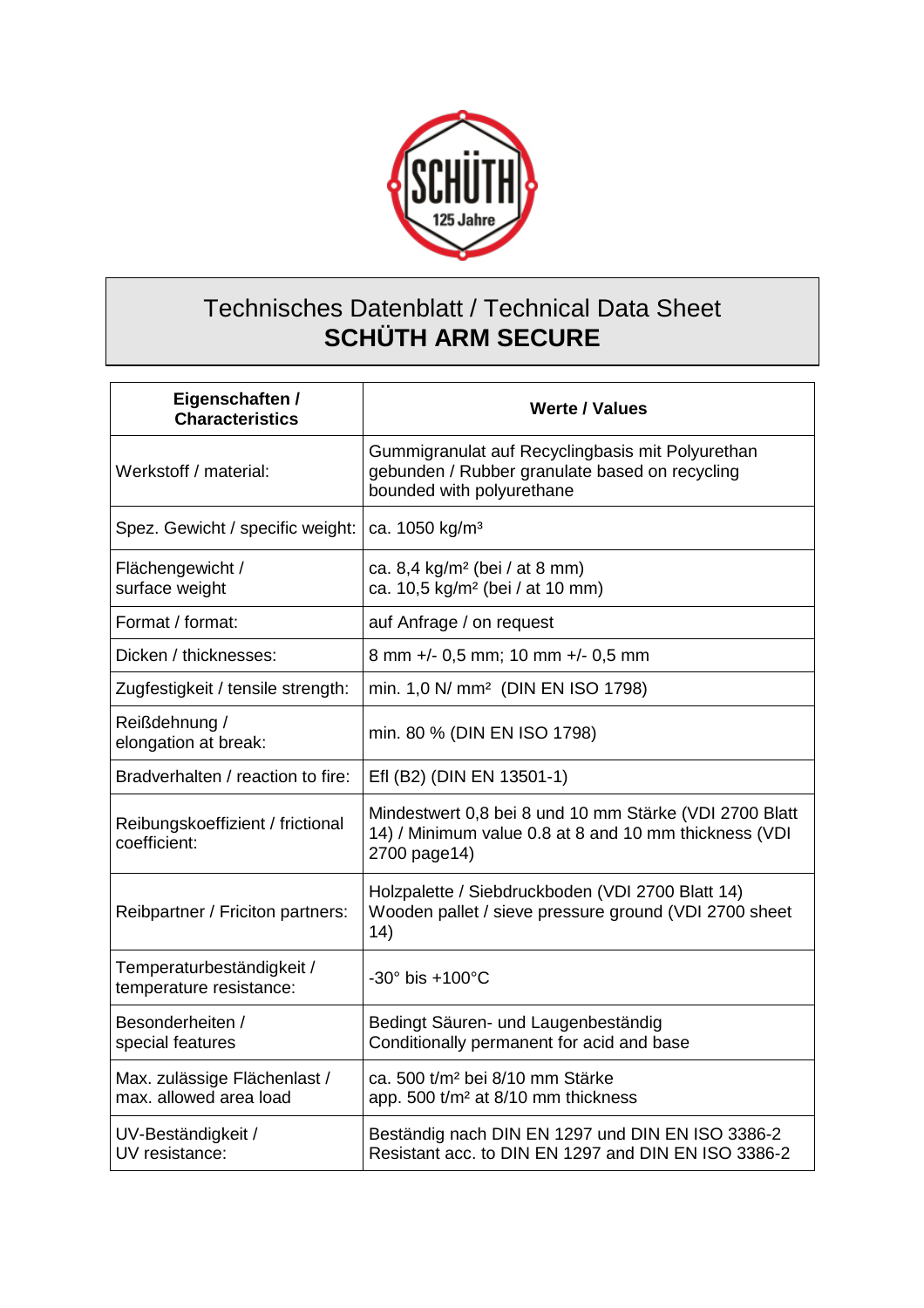

## Technisches Datenblatt / Technical Data Sheet **SCHÜTH ARM SECURE**

| Eigenschaften /<br><b>Characteristics</b>              | <b>Werte / Values</b>                                                                                                           |
|--------------------------------------------------------|---------------------------------------------------------------------------------------------------------------------------------|
| Werkstoff / material:                                  | Gummigranulat auf Recyclingbasis mit Polyurethan<br>gebunden / Rubber granulate based on recycling<br>bounded with polyurethane |
| Spez. Gewicht / specific weight:                       | ca. 1050 kg/m <sup>3</sup>                                                                                                      |
| Flächengewicht /<br>surface weight                     | ca. 8,4 kg/m <sup>2</sup> (bei / at 8 mm)<br>ca. 10,5 kg/m <sup>2</sup> (bei / at 10 mm)                                        |
| Format / format:                                       | auf Anfrage / on request                                                                                                        |
| Dicken / thicknesses:                                  | 8 mm +/- 0,5 mm; 10 mm +/- 0,5 mm                                                                                               |
| Zugfestigkeit / tensile strength:                      | min. 1,0 N/ mm <sup>2</sup> (DIN EN ISO 1798)                                                                                   |
| Reißdehnung /<br>elongation at break:                  | min. 80 % (DIN EN ISO 1798)                                                                                                     |
| Bradverhalten / reaction to fire:                      | Efl (B2) (DIN EN 13501-1)                                                                                                       |
| Reibungskoeffizient / frictional<br>coefficient:       | Mindestwert 0,8 bei 8 und 10 mm Stärke (VDI 2700 Blatt<br>14) / Minimum value 0.8 at 8 and 10 mm thickness (VDI<br>2700 page14) |
| Reibpartner / Friciton partners:                       | Holzpalette / Siebdruckboden (VDI 2700 Blatt 14)<br>Wooden pallet / sieve pressure ground (VDI 2700 sheet<br>14)                |
| Temperaturbeständigkeit /<br>temperature resistance:   | $-30^\circ$ bis $+100^\circ$ C                                                                                                  |
| Besonderheiten /<br>special features                   | Bedingt Säuren- und Laugenbeständig<br>Conditionally permanent for acid and base                                                |
| Max. zulässige Flächenlast /<br>max. allowed area load | ca. 500 t/m <sup>2</sup> bei 8/10 mm Stärke<br>app. 500 t/m <sup>2</sup> at 8/10 mm thickness                                   |
| UV-Beständigkeit /<br>UV resistance:                   | Beständig nach DIN EN 1297 und DIN EN ISO 3386-2<br>Resistant acc. to DIN EN 1297 and DIN EN ISO 3386-2                         |